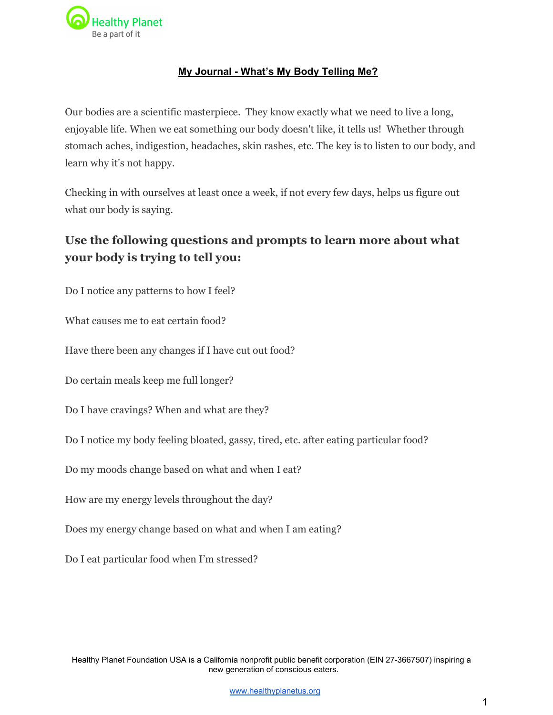

## **My Journal What's My Body Telling Me?**

Our bodies are a scientific masterpiece. They know exactly what we need to live a long, enjoyable life. When we eat something our body doesn't like, it tells us! Whether through stomach aches, indigestion, headaches, skin rashes, etc. The key is to listen to our body, and learn why it's not happy.

Checking in with ourselves at least once a week, if not every few days, helps us figure out what our body is saying.

## **Use the following questions and prompts to learn more about what your body is trying to tell you:**

Do I notice any patterns to how I feel?

What causes me to eat certain food?

Have there been any changes if I have cut out food?

Do certain meals keep me full longer?

Do I have cravings? When and what are they?

Do I notice my body feeling bloated, gassy, tired, etc. after eating particular food?

Do my moods change based on what and when I eat?

How are my energy levels throughout the day?

Does my energy change based on what and when I am eating?

Do I eat particular food when I'm stressed?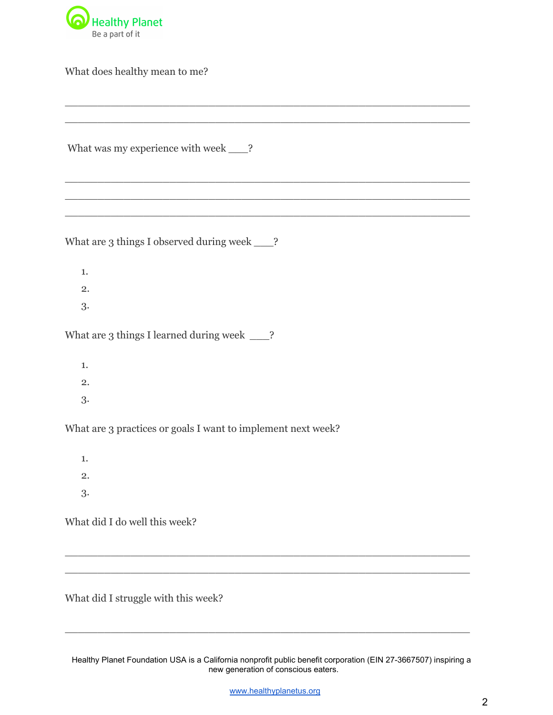

What does healthy mean to me?

What was my experience with week \_\_\_?

What are 3 things I observed during week \_\_\_?

- 1.
- 2.
- 3.

What are 3 things I learned during week \_\_\_?

- 1.
- 2.
- 3.

What are 3 practices or goals I want to implement next week?

1.

- 2.
- 3.

What did I do well this week?

What did I struggle with this week?

Healthy Planet Foundation USA is a California nonprofit public benefit corporation (EIN 27-3667507) inspiring a new generation of conscious eaters.

\_\_\_\_\_\_\_\_\_\_\_\_\_\_\_\_\_\_\_\_\_\_\_\_\_\_\_\_\_\_\_\_\_\_\_\_\_\_\_\_\_\_\_\_\_\_\_\_\_\_\_\_\_\_\_\_\_\_\_\_\_\_

\_\_\_\_\_\_\_\_\_\_\_\_\_\_\_\_\_\_\_\_\_\_\_\_\_\_\_\_\_\_\_\_\_\_\_\_\_\_\_\_\_\_\_\_\_\_\_\_\_\_\_\_\_\_\_\_\_\_\_\_\_\_ \_\_\_\_\_\_\_\_\_\_\_\_\_\_\_\_\_\_\_\_\_\_\_\_\_\_\_\_\_\_\_\_\_\_\_\_\_\_\_\_\_\_\_\_\_\_\_\_\_\_\_\_\_\_\_\_\_\_\_\_\_\_

\_\_\_\_\_\_\_\_\_\_\_\_\_\_\_\_\_\_\_\_\_\_\_\_\_\_\_\_\_\_\_\_\_\_\_\_\_\_\_\_\_\_\_\_\_\_\_\_\_\_\_\_\_\_\_\_\_\_\_\_\_\_ \_\_\_\_\_\_\_\_\_\_\_\_\_\_\_\_\_\_\_\_\_\_\_\_\_\_\_\_\_\_\_\_\_\_\_\_\_\_\_\_\_\_\_\_\_\_\_\_\_\_\_\_\_\_\_\_\_\_\_\_\_\_

\_\_\_\_\_\_\_\_\_\_\_\_\_\_\_\_\_\_\_\_\_\_\_\_\_\_\_\_\_\_\_\_\_\_\_\_\_\_\_\_\_\_\_\_\_\_\_\_\_\_\_\_\_\_\_\_\_\_\_\_\_\_ \_\_\_\_\_\_\_\_\_\_\_\_\_\_\_\_\_\_\_\_\_\_\_\_\_\_\_\_\_\_\_\_\_\_\_\_\_\_\_\_\_\_\_\_\_\_\_\_\_\_\_\_\_\_\_\_\_\_\_\_\_\_ \_\_\_\_\_\_\_\_\_\_\_\_\_\_\_\_\_\_\_\_\_\_\_\_\_\_\_\_\_\_\_\_\_\_\_\_\_\_\_\_\_\_\_\_\_\_\_\_\_\_\_\_\_\_\_\_\_\_\_\_\_\_